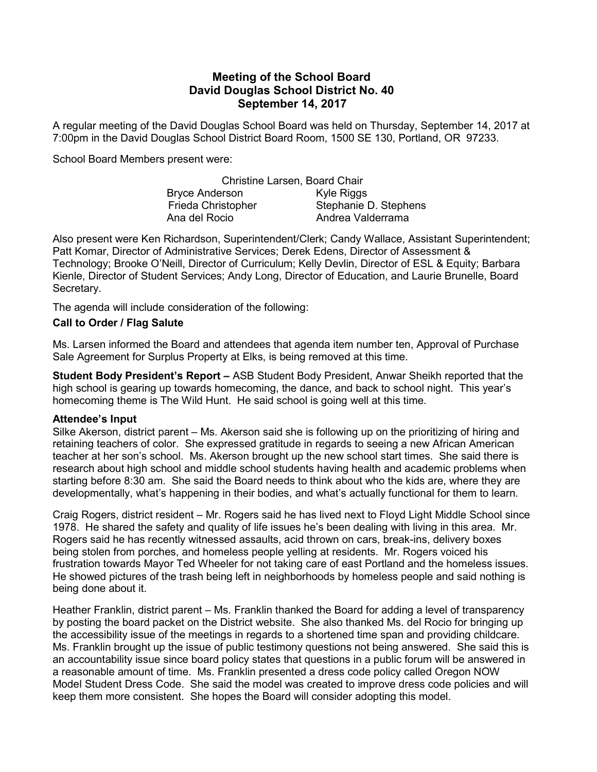# Meeting of the School Board David Douglas School District No. 40 September 14, 2017

A regular meeting of the David Douglas School Board was held on Thursday, September 14, 2017 at 7:00pm in the David Douglas School District Board Room, 1500 SE 130, Portland, OR 97233.

School Board Members present were:

|                           | Christine Larsen, Board Chair |
|---------------------------|-------------------------------|
| <b>Bryce Anderson</b>     | Kyle Riggs                    |
| <b>Frieda Christopher</b> | Stephanie D. Stephens         |
| Ana del Rocio             | Andrea Valderrama             |

Also present were Ken Richardson, Superintendent/Clerk; Candy Wallace, Assistant Superintendent; Patt Komar, Director of Administrative Services; Derek Edens, Director of Assessment & Technology; Brooke O'Neill, Director of Curriculum; Kelly Devlin, Director of ESL & Equity; Barbara Kienle, Director of Student Services; Andy Long, Director of Education, and Laurie Brunelle, Board Secretary.

The agenda will include consideration of the following:

### Call to Order / Flag Salute

Ms. Larsen informed the Board and attendees that agenda item number ten, Approval of Purchase Sale Agreement for Surplus Property at Elks, is being removed at this time.

Student Body President's Report - ASB Student Body President, Anwar Sheikh reported that the high school is gearing up towards homecoming, the dance, and back to school night. This year's homecoming theme is The Wild Hunt. He said school is going well at this time.

#### Attendee's Input

Silke Akerson, district parent – Ms. Akerson said she is following up on the prioritizing of hiring and retaining teachers of color. She expressed gratitude in regards to seeing a new African American teacher at her son's school. Ms. Akerson brought up the new school start times. She said there is research about high school and middle school students having health and academic problems when starting before 8:30 am. She said the Board needs to think about who the kids are, where they are developmentally, what's happening in their bodies, and what's actually functional for them to learn.

Craig Rogers, district resident – Mr. Rogers said he has lived next to Floyd Light Middle School since 1978. He shared the safety and quality of life issues he's been dealing with living in this area. Mr. Rogers said he has recently witnessed assaults, acid thrown on cars, break-ins, delivery boxes being stolen from porches, and homeless people yelling at residents. Mr. Rogers voiced his frustration towards Mayor Ted Wheeler for not taking care of east Portland and the homeless issues. He showed pictures of the trash being left in neighborhoods by homeless people and said nothing is being done about it.

Heather Franklin, district parent – Ms. Franklin thanked the Board for adding a level of transparency by posting the board packet on the District website. She also thanked Ms. del Rocio for bringing up the accessibility issue of the meetings in regards to a shortened time span and providing childcare. Ms. Franklin brought up the issue of public testimony questions not being answered. She said this is an accountability issue since board policy states that questions in a public forum will be answered in a reasonable amount of time. Ms. Franklin presented a dress code policy called Oregon NOW Model Student Dress Code. She said the model was created to improve dress code policies and will keep them more consistent. She hopes the Board will consider adopting this model.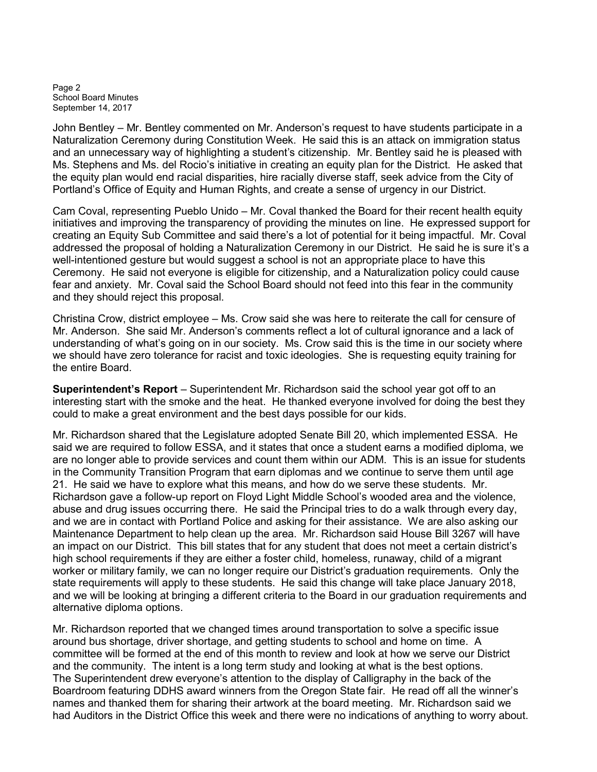Page 2 School Board Minutes September 14, 2017

John Bentley – Mr. Bentley commented on Mr. Anderson's request to have students participate in a Naturalization Ceremony during Constitution Week. He said this is an attack on immigration status and an unnecessary way of highlighting a student's citizenship. Mr. Bentley said he is pleased with Ms. Stephens and Ms. del Rocio's initiative in creating an equity plan for the District. He asked that the equity plan would end racial disparities, hire racially diverse staff, seek advice from the City of Portland's Office of Equity and Human Rights, and create a sense of urgency in our District.

Cam Coval, representing Pueblo Unido – Mr. Coval thanked the Board for their recent health equity initiatives and improving the transparency of providing the minutes on line. He expressed support for creating an Equity Sub Committee and said there's a lot of potential for it being impactful. Mr. Coval addressed the proposal of holding a Naturalization Ceremony in our District. He said he is sure it's a well-intentioned gesture but would suggest a school is not an appropriate place to have this Ceremony. He said not everyone is eligible for citizenship, and a Naturalization policy could cause fear and anxiety. Mr. Coval said the School Board should not feed into this fear in the community and they should reject this proposal.

Christina Crow, district employee – Ms. Crow said she was here to reiterate the call for censure of Mr. Anderson. She said Mr. Anderson's comments reflect a lot of cultural ignorance and a lack of understanding of what's going on in our society. Ms. Crow said this is the time in our society where we should have zero tolerance for racist and toxic ideologies. She is requesting equity training for the entire Board.

Superintendent's Report – Superintendent Mr. Richardson said the school year got off to an interesting start with the smoke and the heat. He thanked everyone involved for doing the best they could to make a great environment and the best days possible for our kids.

Mr. Richardson shared that the Legislature adopted Senate Bill 20, which implemented ESSA. He said we are required to follow ESSA, and it states that once a student earns a modified diploma, we are no longer able to provide services and count them within our ADM. This is an issue for students in the Community Transition Program that earn diplomas and we continue to serve them until age 21. He said we have to explore what this means, and how do we serve these students. Mr. Richardson gave a follow-up report on Floyd Light Middle School's wooded area and the violence, abuse and drug issues occurring there. He said the Principal tries to do a walk through every day, and we are in contact with Portland Police and asking for their assistance. We are also asking our Maintenance Department to help clean up the area. Mr. Richardson said House Bill 3267 will have an impact on our District. This bill states that for any student that does not meet a certain district's high school requirements if they are either a foster child, homeless, runaway, child of a migrant worker or military family, we can no longer require our District's graduation requirements. Only the state requirements will apply to these students. He said this change will take place January 2018, and we will be looking at bringing a different criteria to the Board in our graduation requirements and alternative diploma options.

Mr. Richardson reported that we changed times around transportation to solve a specific issue around bus shortage, driver shortage, and getting students to school and home on time. A committee will be formed at the end of this month to review and look at how we serve our District and the community. The intent is a long term study and looking at what is the best options. The Superintendent drew everyone's attention to the display of Calligraphy in the back of the Boardroom featuring DDHS award winners from the Oregon State fair. He read off all the winner's names and thanked them for sharing their artwork at the board meeting. Mr. Richardson said we had Auditors in the District Office this week and there were no indications of anything to worry about.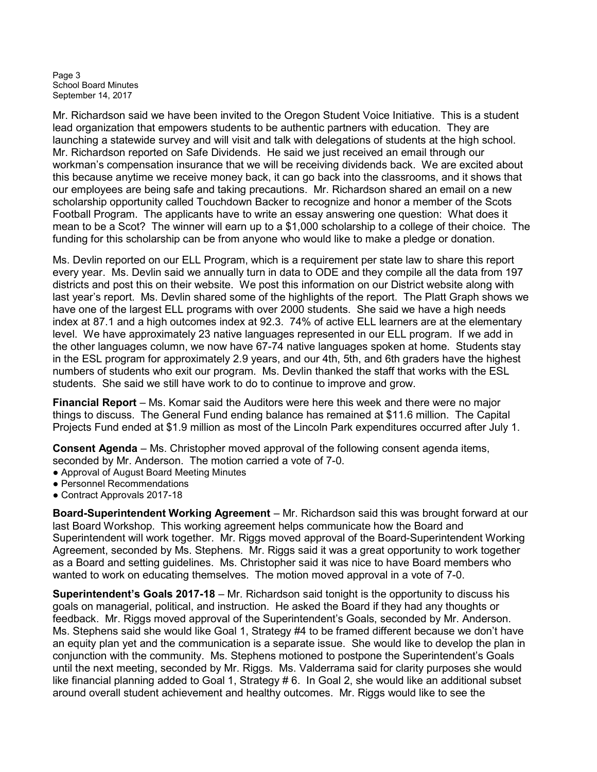Page 3 School Board Minutes September 14, 2017

Mr. Richardson said we have been invited to the Oregon Student Voice Initiative. This is a student lead organization that empowers students to be authentic partners with education. They are launching a statewide survey and will visit and talk with delegations of students at the high school. Mr. Richardson reported on Safe Dividends. He said we just received an email through our workman's compensation insurance that we will be receiving dividends back. We are excited about this because anytime we receive money back, it can go back into the classrooms, and it shows that our employees are being safe and taking precautions. Mr. Richardson shared an email on a new scholarship opportunity called Touchdown Backer to recognize and honor a member of the Scots Football Program. The applicants have to write an essay answering one question: What does it mean to be a Scot? The winner will earn up to a \$1,000 scholarship to a college of their choice. The funding for this scholarship can be from anyone who would like to make a pledge or donation.

Ms. Devlin reported on our ELL Program, which is a requirement per state law to share this report every year. Ms. Devlin said we annually turn in data to ODE and they compile all the data from 197 districts and post this on their website. We post this information on our District website along with last year's report. Ms. Devlin shared some of the highlights of the report. The Platt Graph shows we have one of the largest ELL programs with over 2000 students. She said we have a high needs index at 87.1 and a high outcomes index at 92.3. 74% of active ELL learners are at the elementary level. We have approximately 23 native languages represented in our ELL program. If we add in the other languages column, we now have 67-74 native languages spoken at home. Students stay in the ESL program for approximately 2.9 years, and our 4th, 5th, and 6th graders have the highest numbers of students who exit our program. Ms. Devlin thanked the staff that works with the ESL students. She said we still have work to do to continue to improve and grow.

Financial Report – Ms. Komar said the Auditors were here this week and there were no major things to discuss. The General Fund ending balance has remained at \$11.6 million. The Capital Projects Fund ended at \$1.9 million as most of the Lincoln Park expenditures occurred after July 1.

Consent Agenda – Ms. Christopher moved approval of the following consent agenda items, seconded by Mr. Anderson. The motion carried a vote of 7-0.

- Approval of August Board Meeting Minutes
- Personnel Recommendations
- Contract Approvals 2017-18

Board-Superintendent Working Agreement – Mr. Richardson said this was brought forward at our last Board Workshop. This working agreement helps communicate how the Board and Superintendent will work together. Mr. Riggs moved approval of the Board-Superintendent Working Agreement, seconded by Ms. Stephens. Mr. Riggs said it was a great opportunity to work together as a Board and setting guidelines. Ms. Christopher said it was nice to have Board members who wanted to work on educating themselves. The motion moved approval in a vote of 7-0.

Superintendent's Goals 2017-18 – Mr. Richardson said tonight is the opportunity to discuss his goals on managerial, political, and instruction. He asked the Board if they had any thoughts or feedback. Mr. Riggs moved approval of the Superintendent's Goals, seconded by Mr. Anderson. Ms. Stephens said she would like Goal 1, Strategy #4 to be framed different because we don't have an equity plan yet and the communication is a separate issue. She would like to develop the plan in conjunction with the community. Ms. Stephens motioned to postpone the Superintendent's Goals until the next meeting, seconded by Mr. Riggs. Ms. Valderrama said for clarity purposes she would like financial planning added to Goal 1, Strategy # 6. In Goal 2, she would like an additional subset around overall student achievement and healthy outcomes. Mr. Riggs would like to see the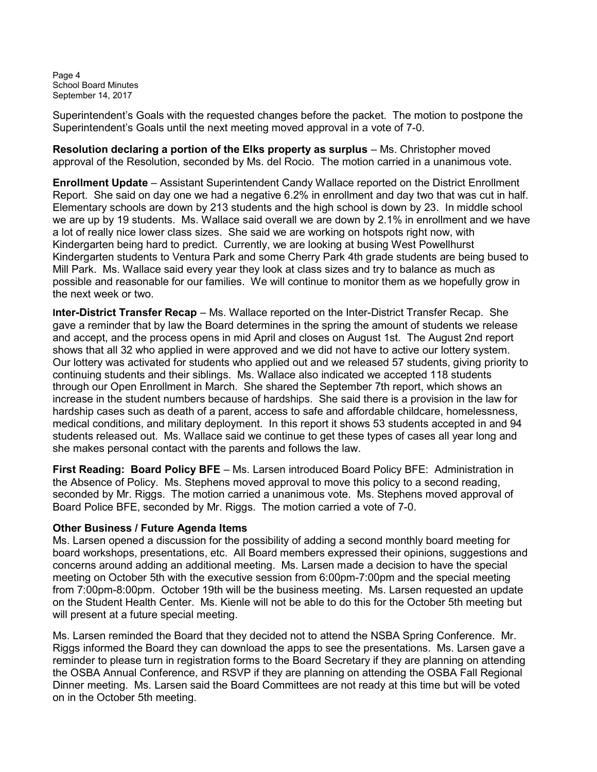Page 4 School Board Minutes September 14, 2017

Superintendent's Goals with the requested changes before the packet. The motion to postpone the Superintendent's Goals until the next meeting moved approval in a vote of 7-0.

Resolution declaring a portion of the Elks property as surplus – Ms. Christopher moved approval of the Resolution, seconded by Ms. del Rocio. The motion carried in a unanimous vote.

Enrollment Update – Assistant Superintendent Candy Wallace reported on the District Enrollment Report. She said on day one we had a negative 6.2% in enrollment and day two that was cut in half. Elementary schools are down by 213 students and the high school is down by 23. In middle school we are up by 19 students. Ms. Wallace said overall we are down by 2.1% in enrollment and we have a lot of really nice lower class sizes. She said we are working on hotspots right now, with Kindergarten being hard to predict. Currently, we are looking at busing West Powellhurst Kindergarten students to Ventura Park and some Cherry Park 4th grade students are being bused to Mill Park. Ms. Wallace said every year they look at class sizes and try to balance as much as possible and reasonable for our families. We will continue to monitor them as we hopefully grow in the next week or two.

Inter-District Transfer Recap – Ms. Wallace reported on the Inter-District Transfer Recap. She gave a reminder that by law the Board determines in the spring the amount of students we release and accept, and the process opens in mid April and closes on August 1st. The August 2nd report shows that all 32 who applied in were approved and we did not have to active our lottery system. Our lottery was activated for students who applied out and we released 57 students, giving priority to continuing students and their siblings. Ms. Wallace also indicated we accepted 118 students through our Open Enrollment in March. She shared the September 7th report, which shows an increase in the student numbers because of hardships. She said there is a provision in the law for hardship cases such as death of a parent, access to safe and affordable childcare, homelessness, medical conditions, and military deployment. In this report it shows 53 students accepted in and 94 students released out. Ms. Wallace said we continue to get these types of cases all year long and she makes personal contact with the parents and follows the law.

First Reading: Board Policy BFE – Ms. Larsen introduced Board Policy BFE: Administration in the Absence of Policy. Ms. Stephens moved approval to move this policy to a second reading, seconded by Mr. Riggs. The motion carried a unanimous vote. Ms. Stephens moved approval of Board Police BFE, seconded by Mr. Riggs. The motion carried a vote of 7-0.

### Other Business / Future Agenda Items

Ms. Larsen opened a discussion for the possibility of adding a second monthly board meeting for board workshops, presentations, etc. All Board members expressed their opinions, suggestions and concerns around adding an additional meeting. Ms. Larsen made a decision to have the special meeting on October 5th with the executive session from 6:00pm-7:00pm and the special meeting from 7:00pm-8:00pm. October 19th will be the business meeting. Ms. Larsen requested an update on the Student Health Center. Ms. Kienle will not be able to do this for the October 5th meeting but will present at a future special meeting.

Ms. Larsen reminded the Board that they decided not to attend the NSBA Spring Conference. Mr. Riggs informed the Board they can download the apps to see the presentations. Ms. Larsen gave a reminder to please turn in registration forms to the Board Secretary if they are planning on attending the OSBA Annual Conference, and RSVP if they are planning on attending the OSBA Fall Regional Dinner meeting. Ms. Larsen said the Board Committees are not ready at this time but will be voted on in the October 5th meeting.